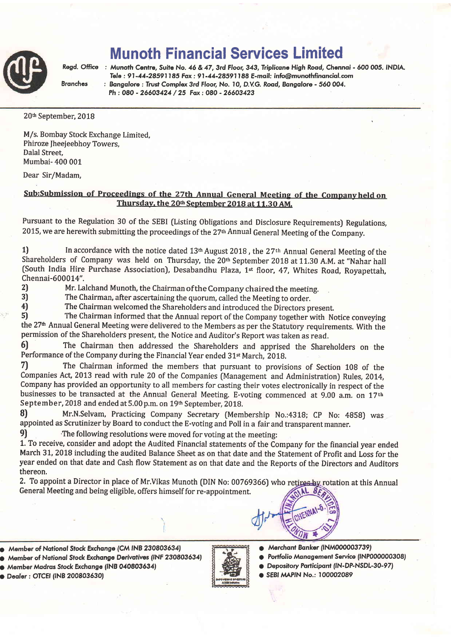

## Munoth Financial Services Limited

Regd. Office : Munoth Centre, Suite No. 46 & 47, 3rd Floor, 343, Triplicane High Road, Chennai - 600 005. INDIA. Tele :91-14-28591185 Fox:91-44-28591188 E-moil: info@munofhfinonciol.com Branches : Bangalore : Trust Complex 3rd Floor, No. 10, D.V.G. Road, Bangalore - 560 004. Ph: 080 - 26603424 / 25 Fax: 080 - 26603423

20<sup>th</sup> September, 2018

M/s. Bombay Stock Exchange Limited, Phiroze Jheejeebhoy Towers, Dalal Street, Mumbai- 400 001

Dear Sir/Madam,

## Sub:Submission of Proceedings of the 27th Annual General Meeting of the Companyheld on Thursday, the 20<sup>th</sup> September 2018 at 11.30 AM.

Pursuant to the Regulation 30 of the SEBI (Listing Obligations and Disclosure Requirements) Regulations, 2015, we are herewith submitting the proceedings of the 27<sup>th</sup> Annual General Meeting of the Company.

1) In accordance with the notice dated  $13<sup>th</sup>$  August 2018, the 27<sup>th</sup> Annual General Meeting of the Shareholders of Company was held on Thursday, the 20th September 2018 at 11.30 A.M. at "Nahar hall (South India Hire Purchase Association), Desabandhu Plaza, 1<sup>st</sup> floor, 47, Whites Road, Royapettah, Chennai-600074".

2) Mr. Lalchand Munoth, the Chairman of the Company chaired the meeting.<br>2) The Chairman, after ascertaining the quorum, called the Meeting to order

3) The Chairman, after ascertaining the quorum, called the Meeting to order.<br>4) The Chairman welcomed the Shareholders and introduced the Directors post-

4) The Chairman welcomed the Shareholders and introduced the Directors present.<br>5) The Chairman informed that the Annual report of the Company together with No

The Chairman informed that the Annual report of the Company together with Notice conveying the 27<sup>th</sup> Annual General Meeting were delivered to the Members as per the Statutory requirements. With the permission of the Shareholders present, the Notice and Auditor's Report was taken as read.

6) The Chairman then addressed the Shareholders and apprised the Shareholders on the Performance of the Company during the Financial Year ended 31<sup>st</sup> March, 2018.

7) The Chairman informed the members that pursuant to provisions of Section 108 of the Companies Act, 2013 read with rule 20 of the Companies (Management and Administration) Rules, 2014, Company has provided an opportunity to all members for casting their votes electronically in respect of the businesses to be transacted at the Annual General Meeting. E-voting commenced at 9.00 a.m, on 17th September, 2018 and ended at 5.00 p.m. on 19th September, 2018.

B) Mr.N.Selvam, Practicing Company Secretary (Membership No.:4318; CP No: 4B5B) was appointed as Scrutinizer by Board to conduct the E-voting and Poll in a fair and transparent manner.

9) The following resolutions were moved for voting at the meeting:

1. To receive, consider and adopt the Audited Financial statements of the Company for the financial year ended March 31, 2018 including the audited Balance Sheet as on that date and the Statement of Profit and Loss for the year ended on that date and Cash flow Statement as on that date and the Reports of the Directors and Auditors thereon,

2. To appoint a Director in place of Mr.Vikas Munoth (DIN No: 00769366) who retires by rotation at this Annual General Meeting and being eligible, offers himself for re-appointment.



- a Member of Notionol Stock Brchonge (CM fNB 230803634)
- o Member of Notionol Stock Exchcnge Derivqfives (lNF 230803634)

O Member Madras Stock Exchange (INB 040803634)





- Merchant Banker (INM000003739)
- Portfolio Management Service (INP000000308)
- Depository Participant (IN-DP-NSDL-30-97)
- **SEBI MAPIN No.: 100002089**